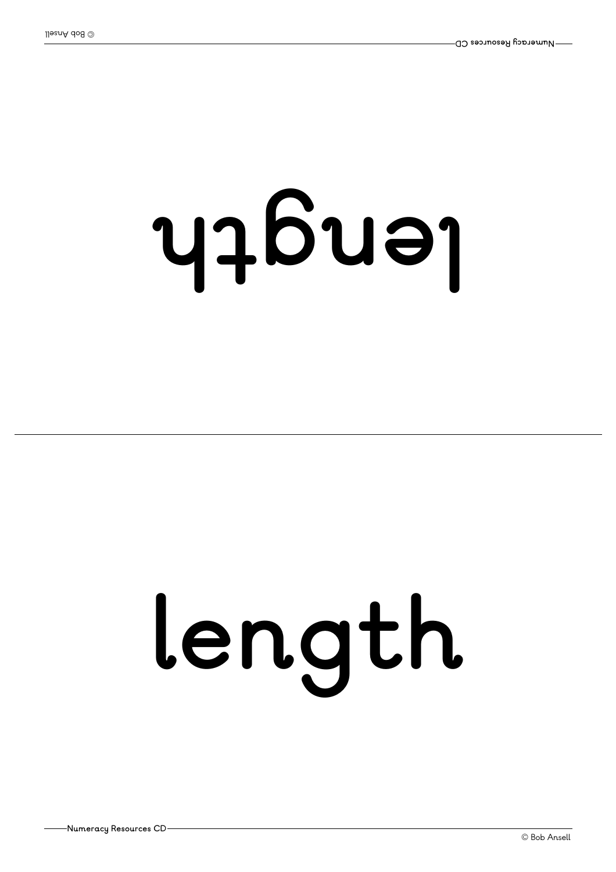# **htgnel**

# **length**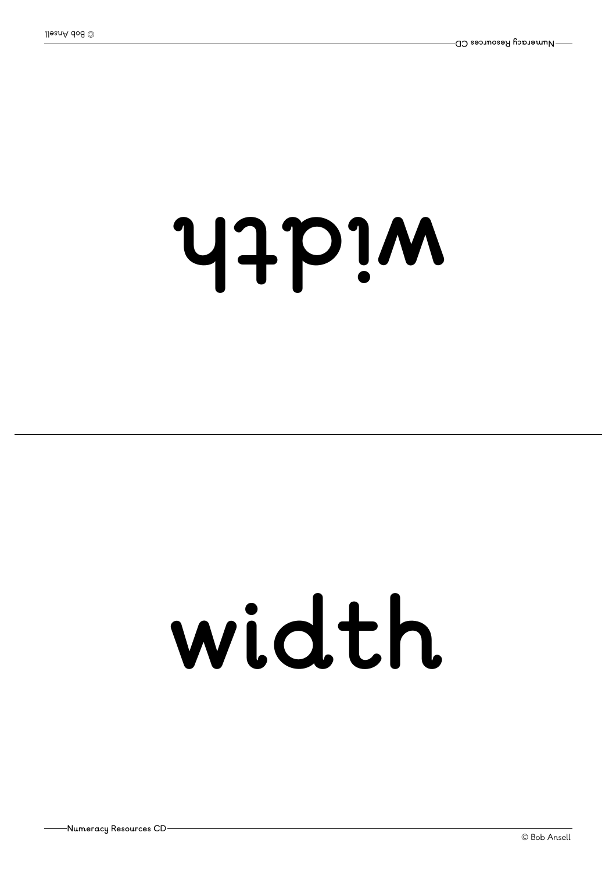#### **ht di <sup>w</sup>**

#### **width**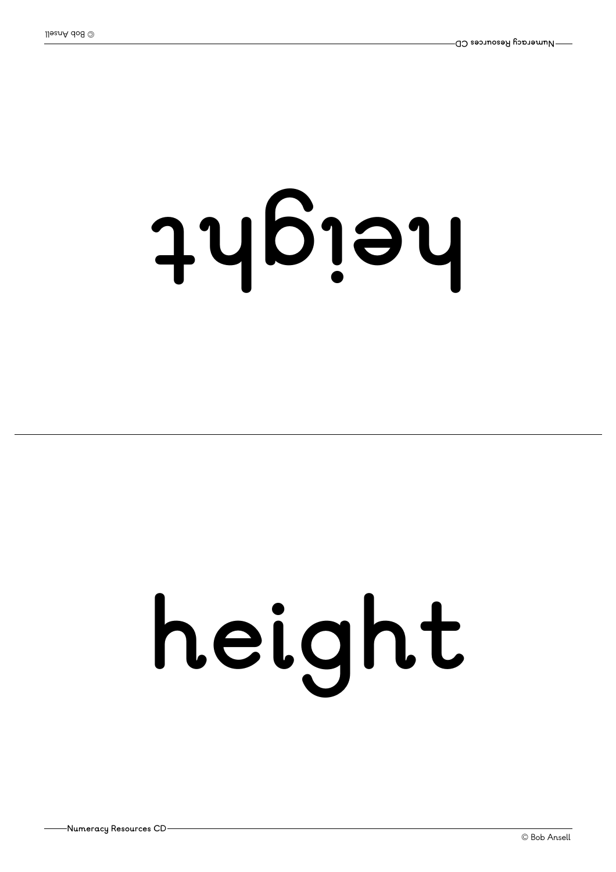# **thgi eh**

# **height**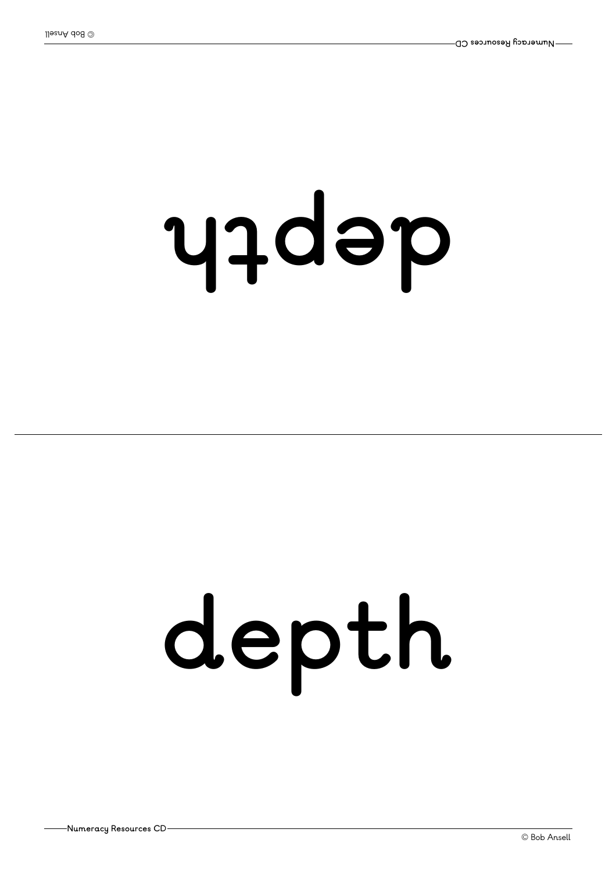# **htped**

# **depth**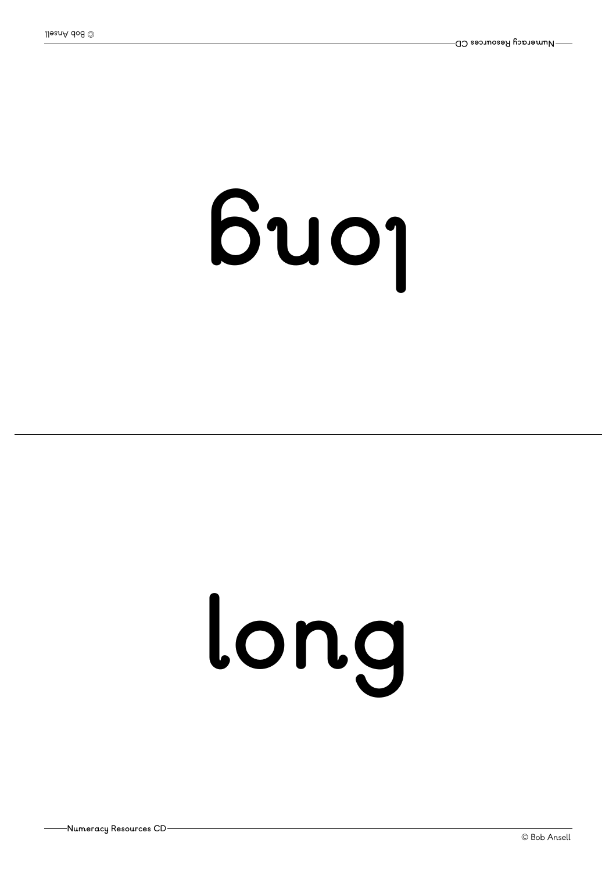## **gnol**

# **long**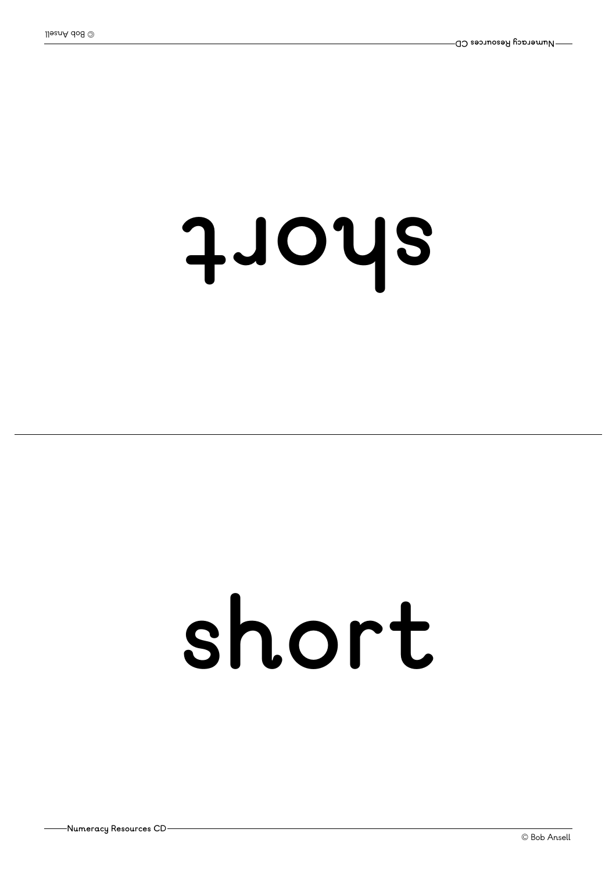#### **tr ohs**

## **short**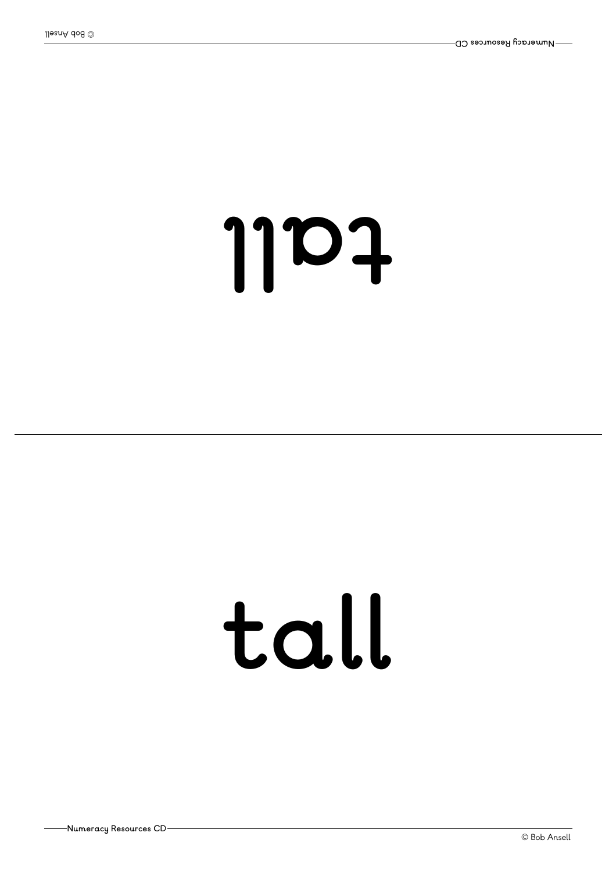#### **tall**

**ll at**

#### **Numeracy Resources CD**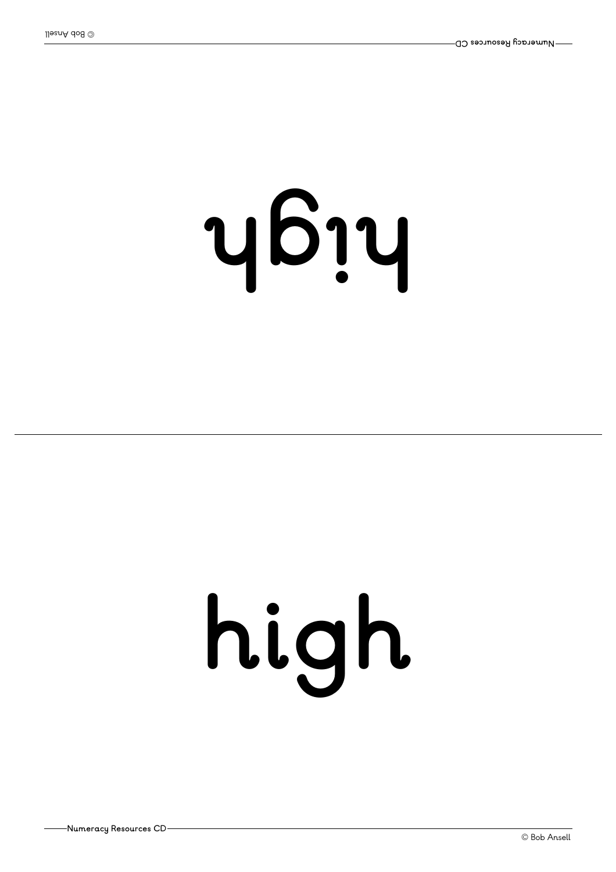# **<sup>h</sup>gi <sup>h</sup>**

# **high**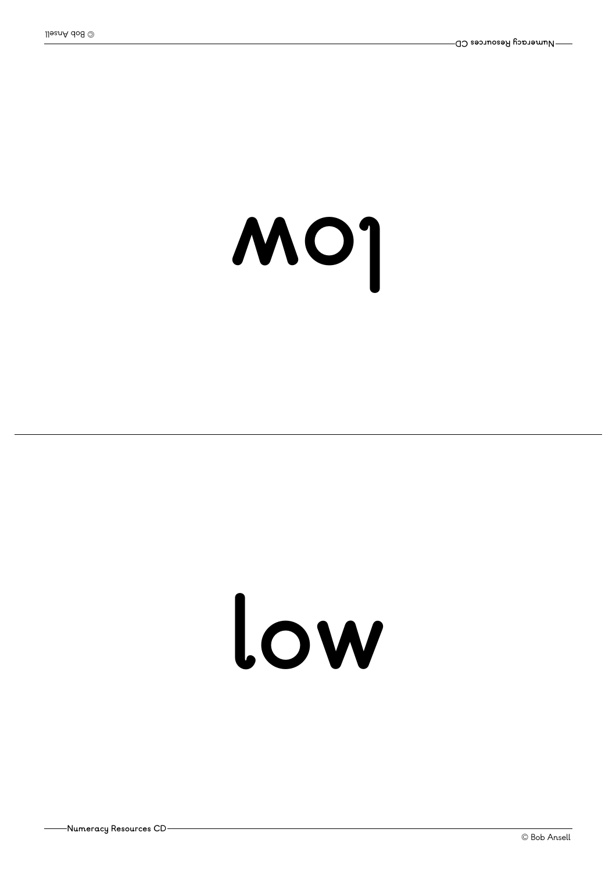**Numeracy Resources CD**

#### **wol**

## **low**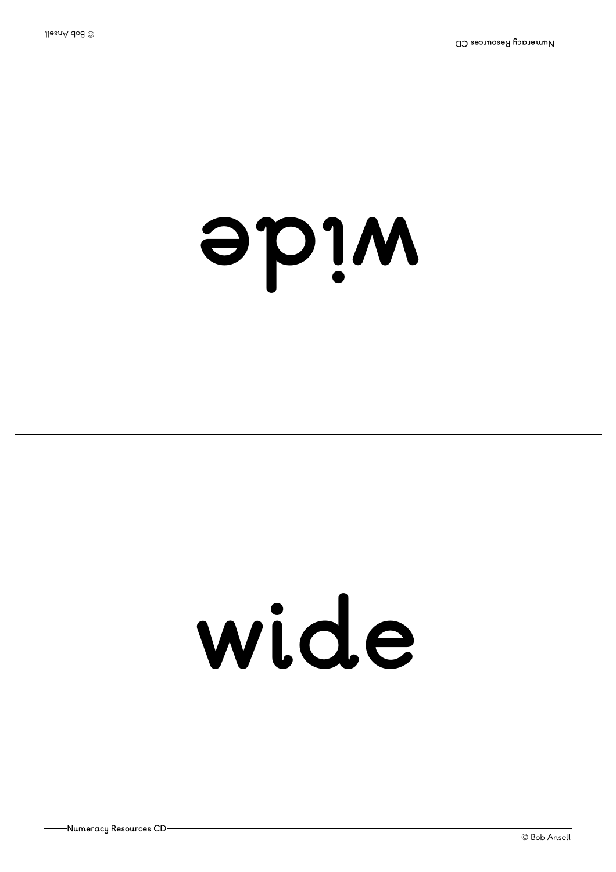#### **edi <sup>w</sup>**

#### **wide**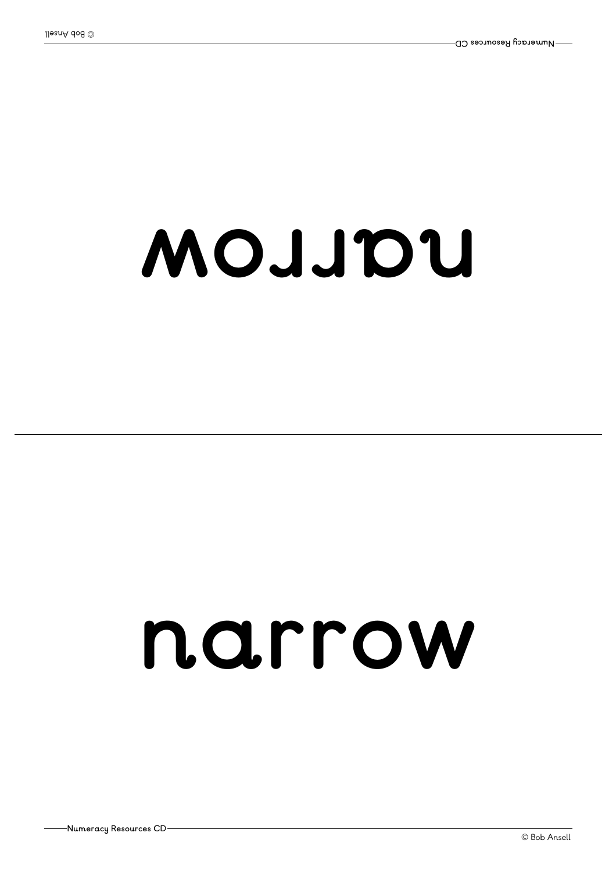#### **worr an**

#### **narrow**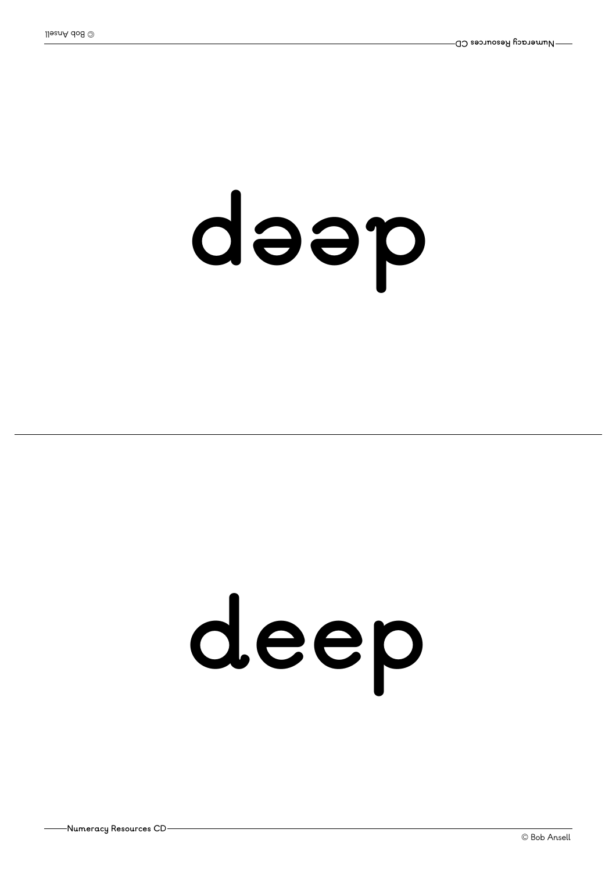## **peed**

## **deep**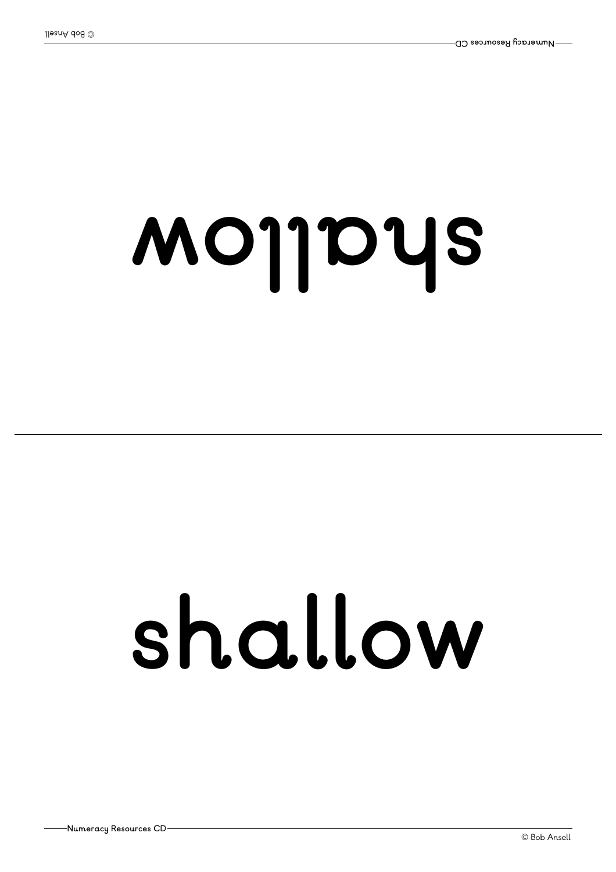## **woll ahs**

## **shallow**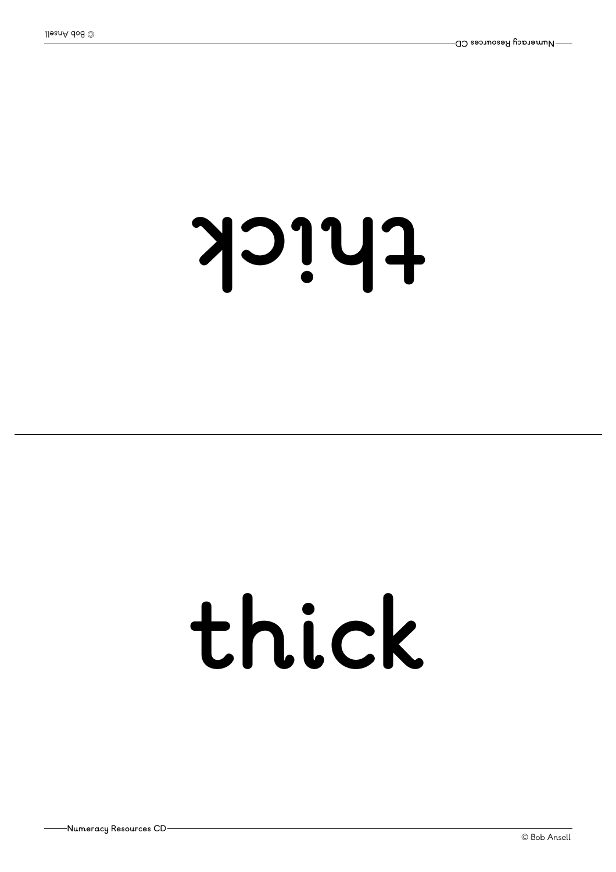#### **kci ht**

## **thick**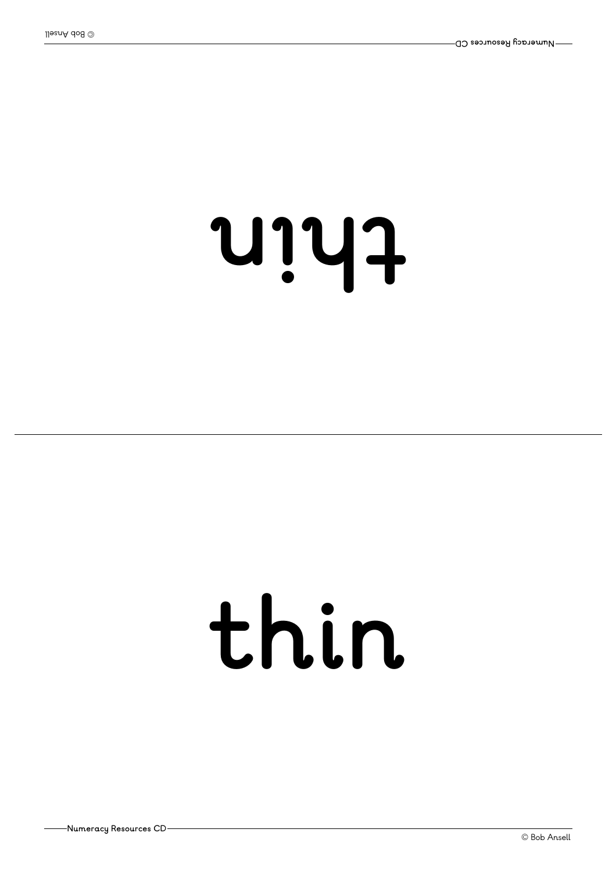#### **ni ht**

#### **thin**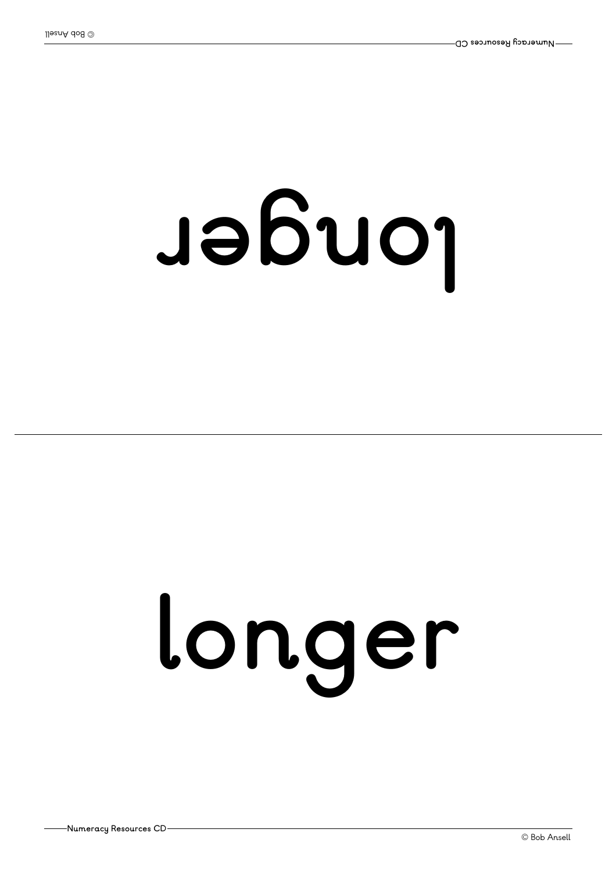## **<sup>r</sup> egnol**

# **longer**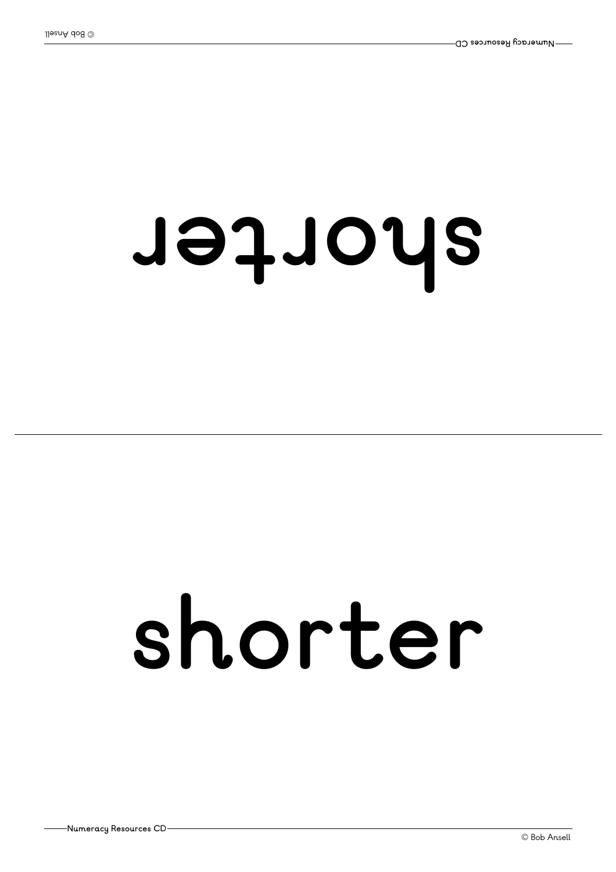#### **<sup>r</sup> etr ohs**

## **shorter**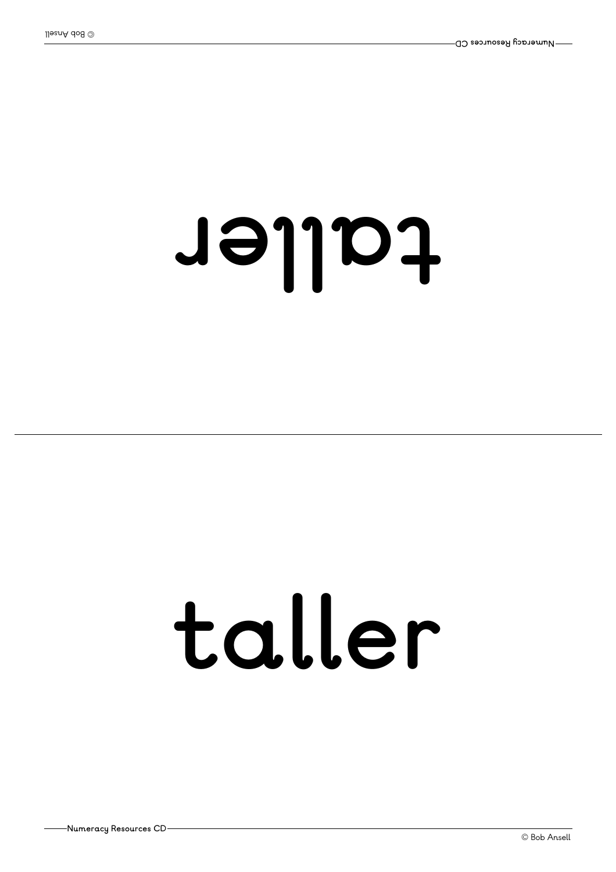#### **<sup>r</sup> ell at**

## **taller**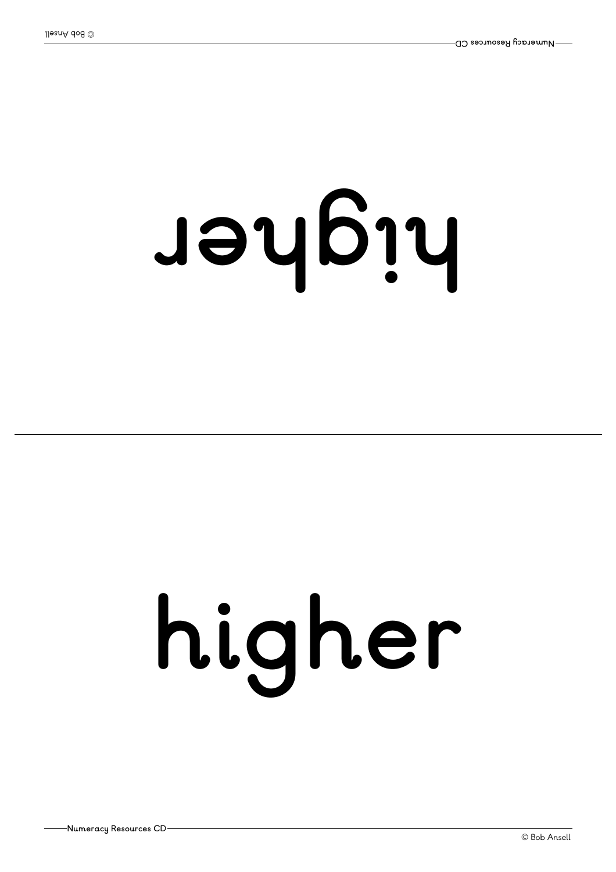# **<sup>r</sup> ehgi <sup>h</sup>**

# **higher**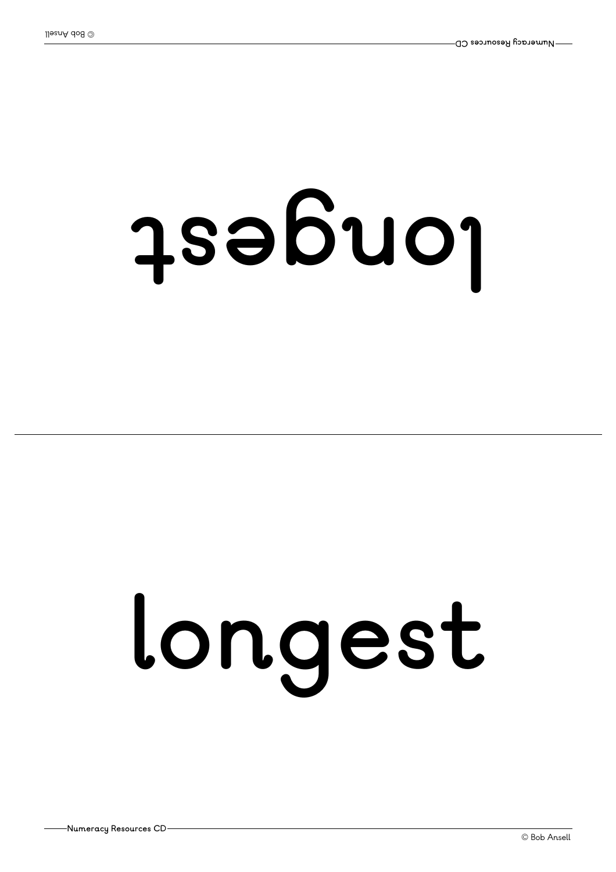## **tsegnol**

# **longest**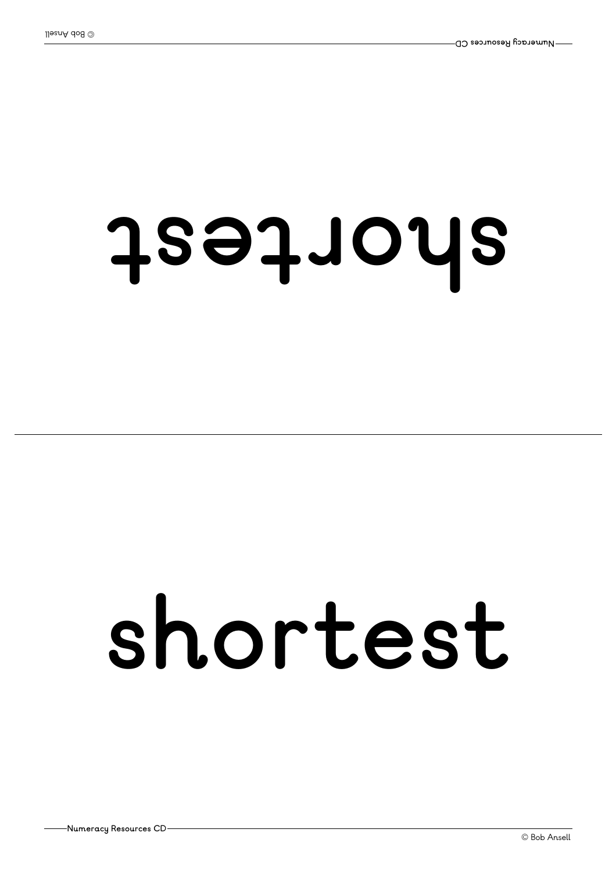#### **tsetr ohs**

### **shortest**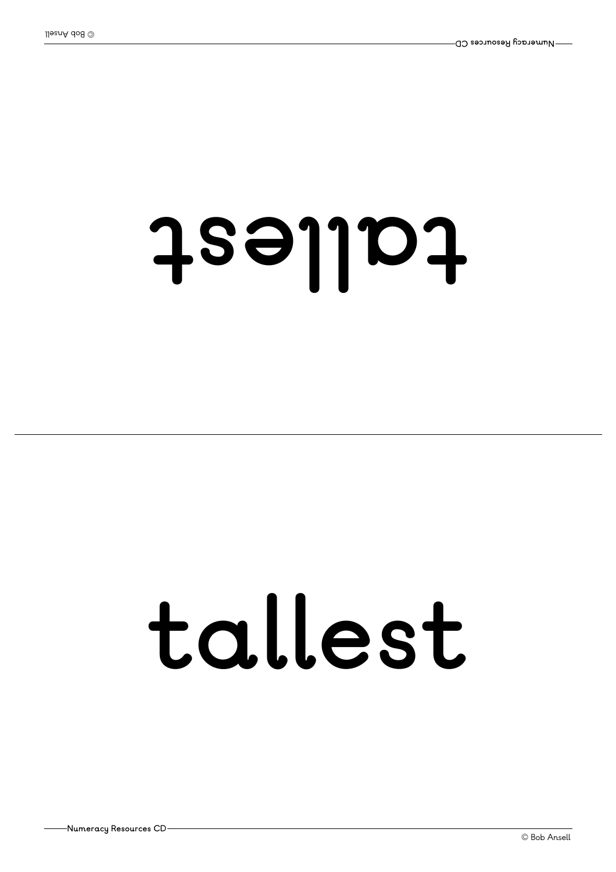#### **tsell at**

## **tallest**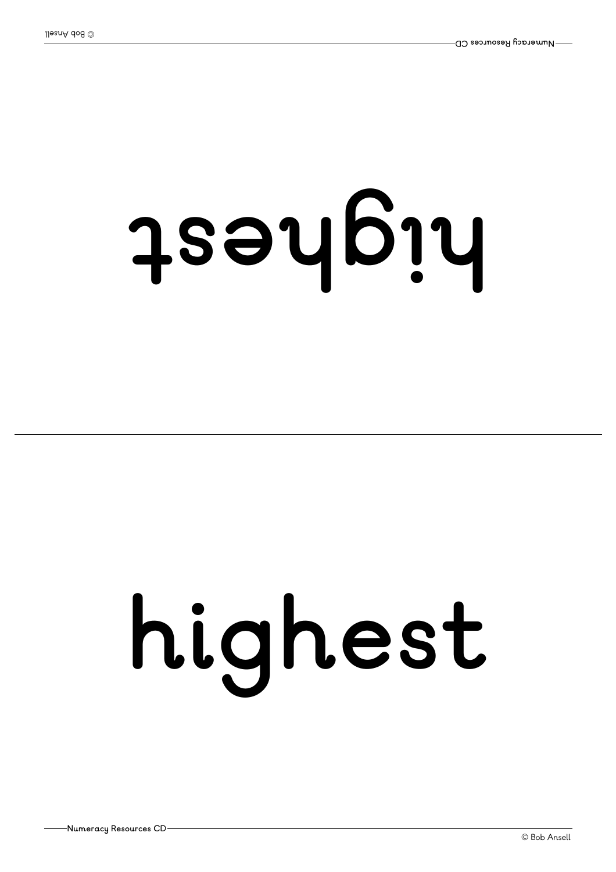# **tsehgi <sup>h</sup>**

# **highest**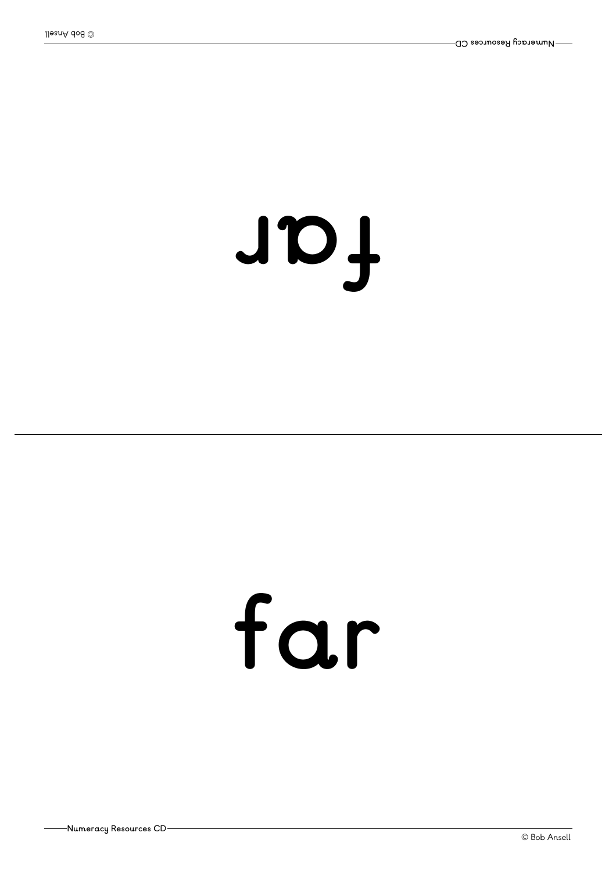**<sup>r</sup> af**

#### **far**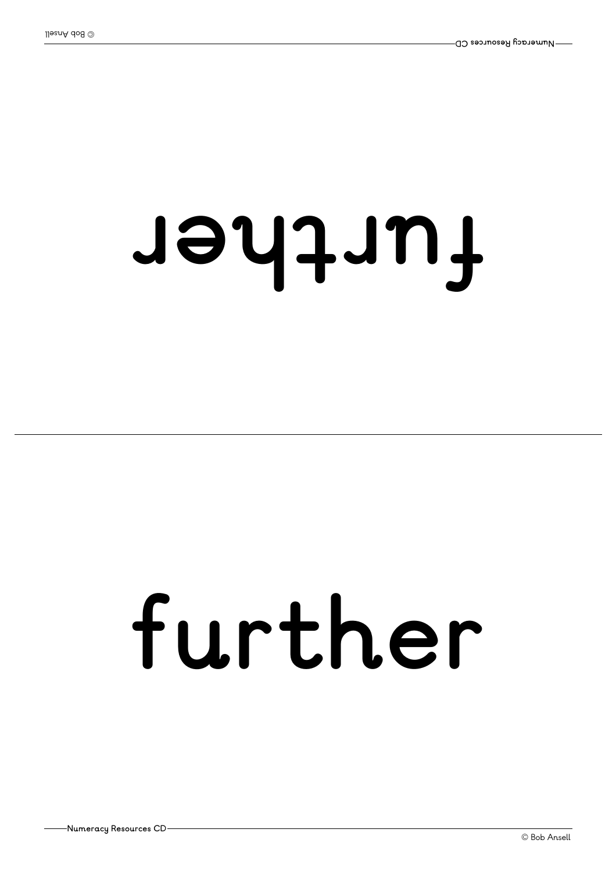#### **<sup>r</sup> ehtr uf**

## **further**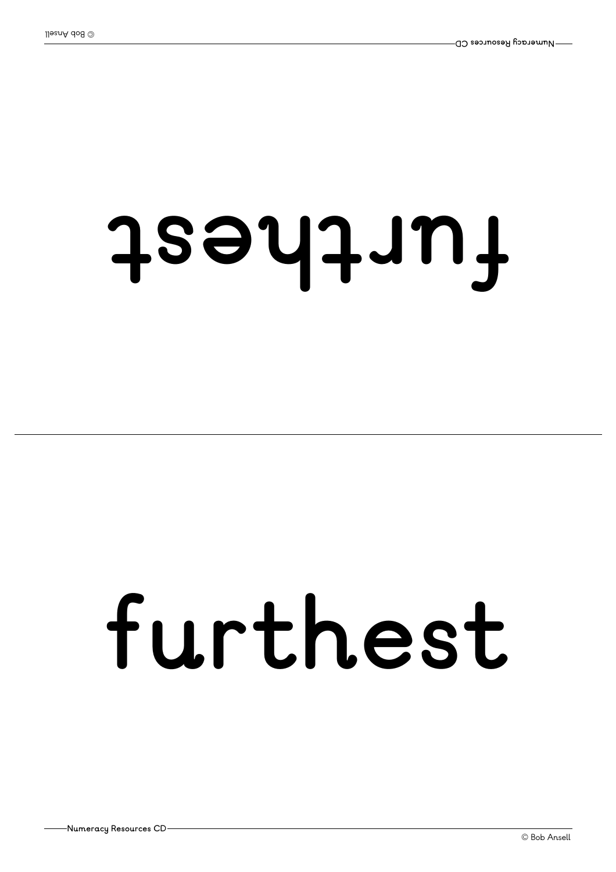#### **tsehtr uf**

## **furthest**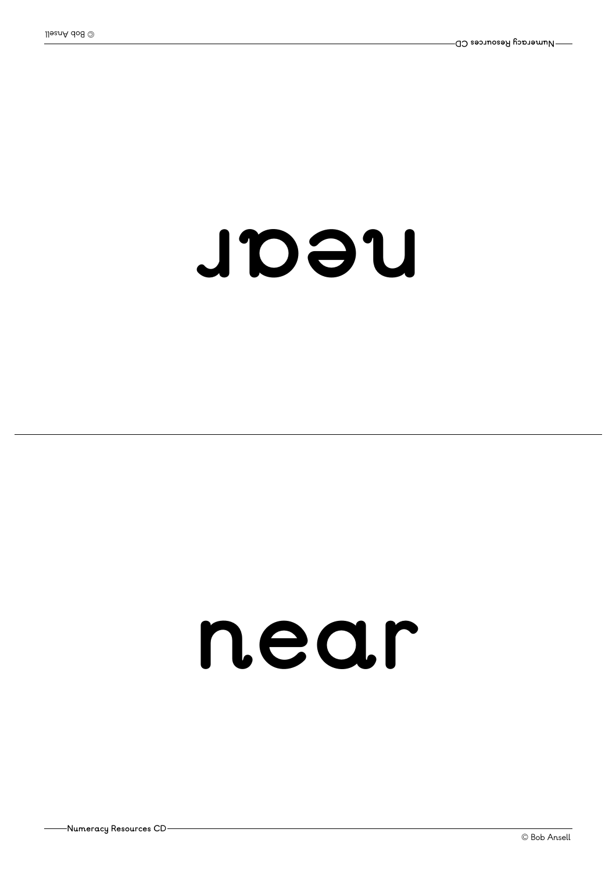#### **r aen**

#### **near**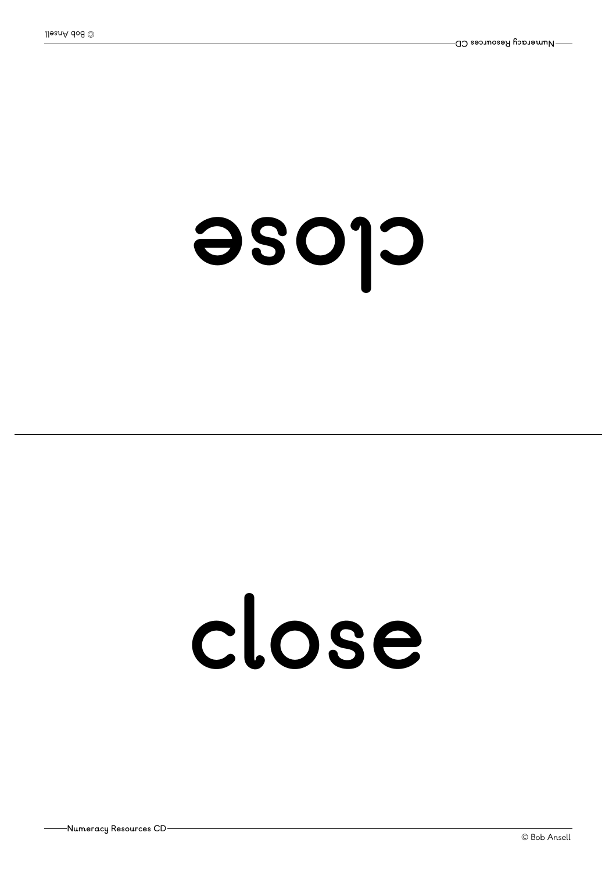#### **esol <sup>c</sup>**

### **close**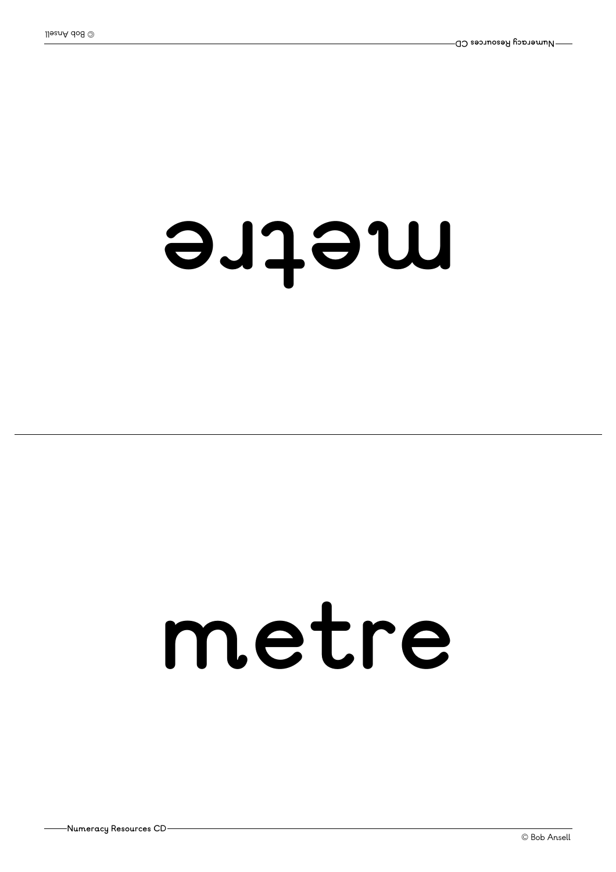#### **erte m**

#### **metre**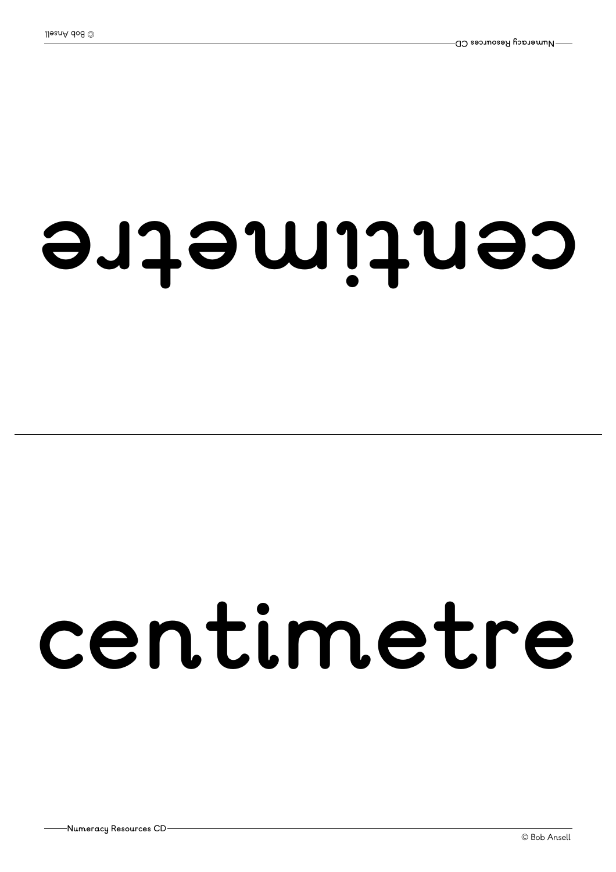#### **erte mi tnec**

#### **centimetre**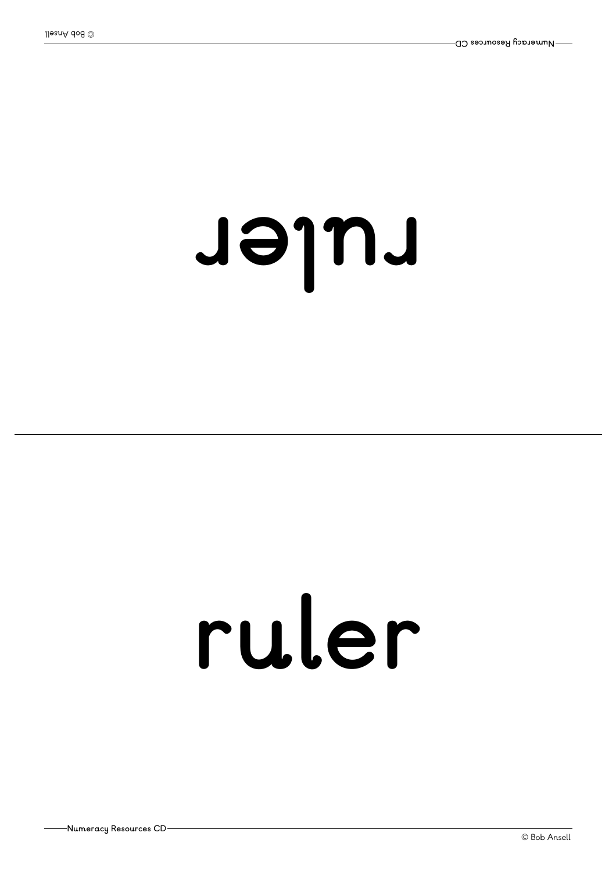#### **<sup>r</sup> el ur**

#### **ruler**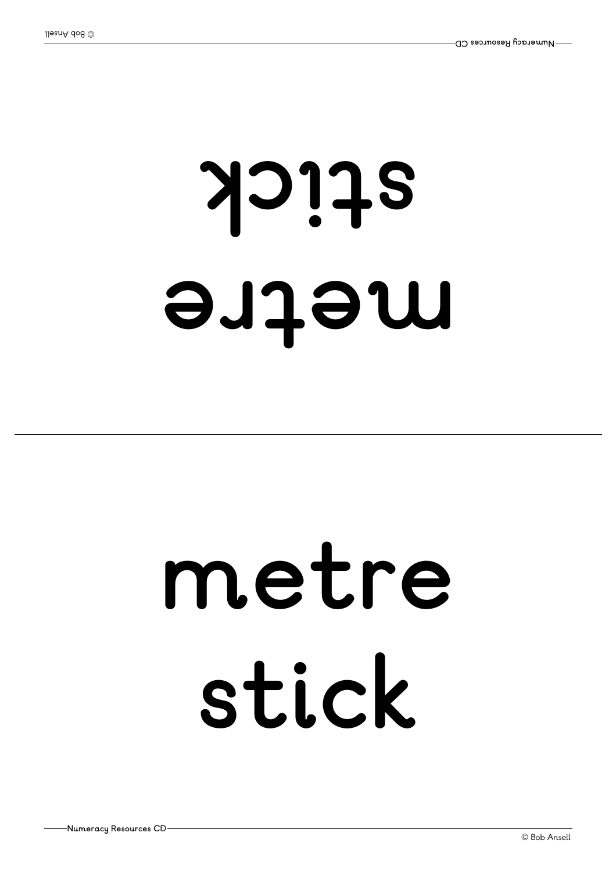## **erte m kci ts**

## **metre stick**